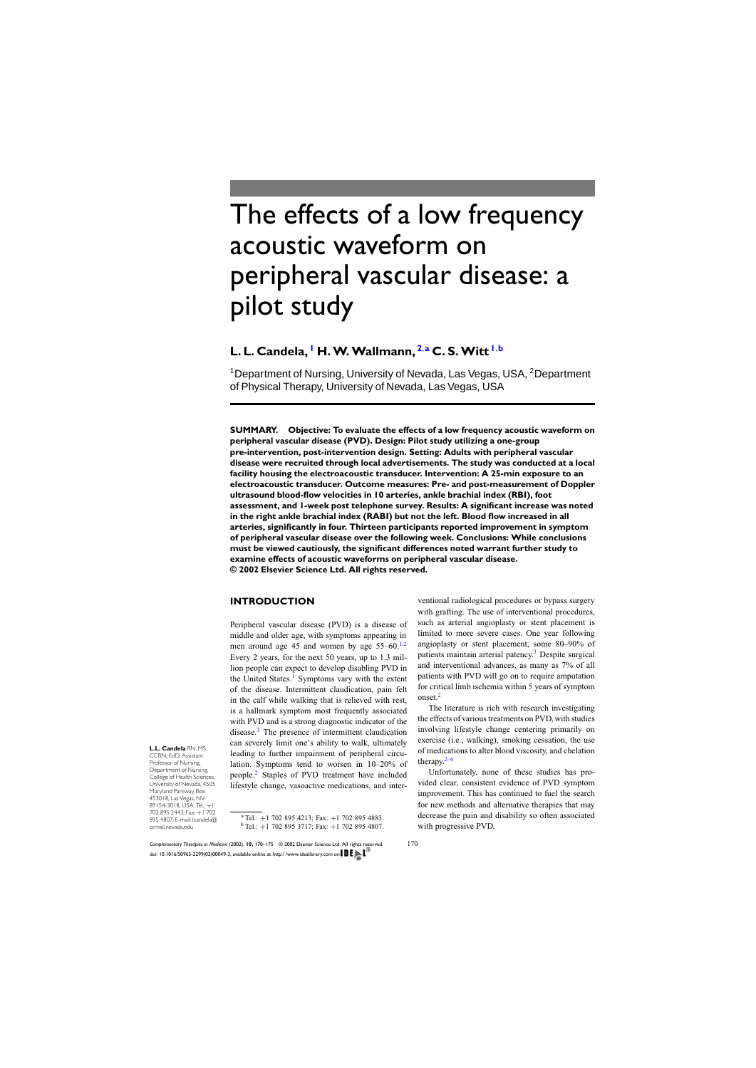# The effects of a low frequency acoustic waveform on peripheral vascular disease: a pilot study

## **L. L. Candela, <sup>1</sup> H.W.Wallmann, <sup>2</sup>**,**<sup>a</sup> C. S.Witt <sup>1</sup>**,**<sup>b</sup>**

<sup>1</sup> Department of Nursing, University of Nevada, Las Vegas, USA, <sup>2</sup> Department of Physical Therapy, University of Nevada, Las Vegas, USA

**SUMMARY. Objective: To evaluate the effects of a low frequency acoustic waveform on peripheral vascular disease (PVD). Design: Pilot study utilizing a one-group pre-intervention, post-intervention design. Setting: Adults withperipheral vascular disease were recruited through local advertisements. The study was conducted at a local facility housing the electroacoustic transducer. Intervention: A 25-min exposure to an electroacoustic transducer. Outcome measures: Pre- and post-measurement of Doppler ultrasound blood-flow velocities in 10 arteries, ankle brachial index (RBI), foot assessment, and 1-week post telephone survey. Results: A significant increase was noted in the right ankle brachial index (RABI) but not the left. Blood flow increased in all arteries, significantly in four. Thirteen participants reported improvement in symptom of peripheral vascular disease over the following week. Conclusions: While conclusions must be viewed cautiously, the significant differences noted warrant further study to examine effects of acoustic waveforms on peripheral vascular disease. © 2002 Elsevier Science Ltd. All rights reserved.**

## **INTRODUCTION**

Peripheral vascular disease (PVD) is a disease of middle and older age, with symptoms appearing in men around age 45 and women by age  $55-60$ .<sup>[1,2](#page-4-0)</sup> Every 2 years, for the next 50years, up to 1.3 million people can expect to develop disabling PVD in the United States.<sup>[1](#page-4-0)</sup> Symptoms vary with the extent of the disease. Intermittent claudication, pain felt in the calf while walking that is relieved with rest, is a hallmark symptom most frequently associated with PVD and is a strong diagnostic indicator of the disease.[3](#page-4-0) The presence of intermittent claudication can severely limit one's ability to walk, ultimately leading to further impairment of peripheral circulation. Symptoms tend to worsen in 10–20% of people.[2](#page-4-0) Staples of PVD treatment have included lifestyle change, vasoactive medications, and inter-

**L.L. Candela** RN, MS, CCRN, EdD, Assistant

Professor of Nursing, Department of Nursing, College of Health Science University of Nevada, 4505 Maryland Parkway, Box 453018, Las Vegas, NV 89154-3018, USA. Tel.: +1 702 895 2443; Fax: +1 702 895 4807; E-mail: lcandela@ ccmail.nevada.edu

<sup>a</sup> Tel.: +1 702 895 4213; Fax: +1 702 895 4883.<br><sup>b</sup> Tel.: +1 702 895 3717; Fax: +1 702 895 4807.

ventional radiological procedures or bypass surgery with grafting. The use of interventional procedures, such as arterial angioplasty or stent placement is limited to more severe cases. One year following angioplasty or stent placement, some 80–90% of patients maintain arterial patency.[3](#page-4-0) Despite surgical and interventional advances, as many as 7% of all patients with PVD will go on to require amputation for critical limb ischemia within 5 years of symptom  $\alpha$ nset $^2$  $^2$ 

The literature is rich with research investigating the effects of various treatments on PVD, with studies involving lifestyle change centering primarily on exercise (i.e., walking), smoking cessation, the use of medications to alter blood viscosity, and chelation therapy. $2-6$ 

Unfortunately, none of these studies has provided clear, consistent evidence of PVD symptom improvement. This has continued to fuel the search for new methods and alternative therapies that may decrease the pain and disability so often associated with progressive PVD.

*Complementary Therapies in Medicine* (2002), **10,** 170–175 ©2002 Elsevier Science Ltd. All rights reserved. 170 doi: 10.1016/S0965-2299(02)00049-3, available online at http://www.idealibrary.com on  $\blacksquare \blacksquare \blacktriangleright \blacksquare$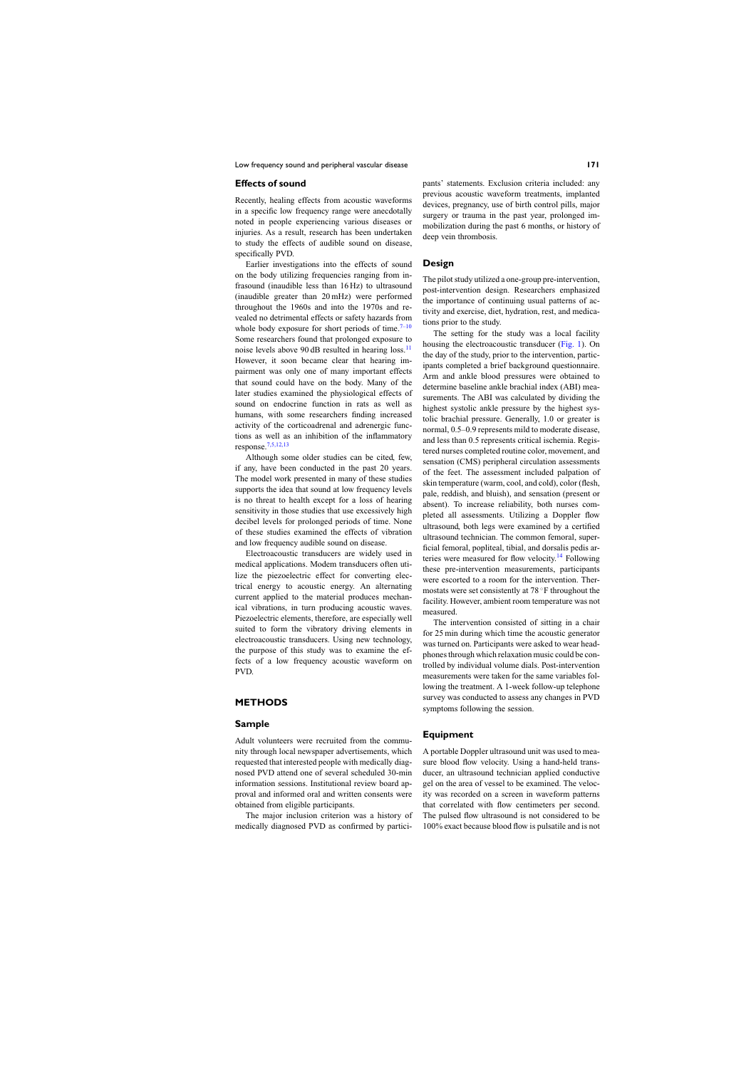#### **Effects of sound**

Recently, healing effects from acoustic waveforms in a specific low frequency range were anecdotally noted in people experiencing various diseases or injuries. As a result, research has been undertaken to study the effects of audible sound on disease, specifically PVD.

Earlier investigations into the effects of sound on the body utilizing frequencies ranging from infrasound (inaudible less than 16 Hz) to ultrasound (inaudible greater than 20mHz) were performed throughout the 1960s and into the 1970s and revealed no detrimental effects or safety hazards from whole body exposure for short periods of time. $7-10$ Some researchers found that prolonged exposure to noise levels above 90 dB resulted in hearing loss.<sup>[11](#page-5-0)</sup> However, it soon became clear that hearing impairment was only one of many important effects that sound could have on the body. Many of the later studies examined the physiological effects of sound on endocrine function in rats as well as humans, with some researchers finding increased activity of the corticoadrenal and adrenergic functions as well as an inhibition of the inflammatory response.[7,5,12,13](#page-4-0)

Although some older studies can be cited, few, if any, have been conducted in the past 20 years. The model work presented in many of these studies supports the idea that sound at low frequency levels is no threat to health except for a loss of hearing sensitivity in those studies that use excessively high decibel levels for prolonged periods of time. None of these studies examined the effects of vibration and low frequency audible sound on disease.

Electroacoustic transducers are widely used in medical applications. Modem transducers often utilize the piezoelectric effect for converting electrical energy to acoustic energy. An alternating current applied to the material produces mechanical vibrations, in turn producing acoustic waves. Piezoelectric elements, therefore, are especially well suited to form the vibratory driving elements in electroacoustic transducers. Using new technology, the purpose of this study was to examine the effects of a low frequency acoustic waveform on PVD.

#### **METHODS**

#### **Sample**

Adult volunteers were recruited from the community through local newspaper advertisements, which requested that interested people with medically diagnosed PVD attend one of several scheduled 30-min information sessions. Institutional review board approval and informed oral and written consents were obtained from eligible participants.

The major inclusion criterion was a history of medically diagnosed PVD as confirmed by participants' statements. Exclusion criteria included: any previous acoustic waveform treatments, implanted devices, pregnancy, use of birth control pills, major surgery or trauma in the past year, prolonged immobilization during the past 6 months, or history of deep vein thrombosis.

#### **Design**

The pilot study utilized a one-group pre-intervention, post-intervention design. Researchers emphasized the importance of continuing usual patterns of activity and exercise, diet, hydration, rest, and medications prior to the study.

The setting for the study was a local facility housing the electroacoustic transducer [\(Fig. 1\).](#page-2-0) On the day of the study, prior to the intervention, participants completed a brief background questionnaire. Arm and ankle blood pressures were obtained to determine baseline ankle brachial index (ABI) measurements. The ABI was calculated by dividing the highest systolic ankle pressure by the highest systolic brachial pressure. Generally, 1.0 or greater is normal, 0.5–0.9 represents mild to moderate disease, and less than 0.5 represents critical ischemia. Registered nurses completed routine color, movement, and sensation (CMS) peripheral circulation assessments of the feet. The assessment included palpation of skin temperature (warm, cool, and cold), color (flesh, pale, reddish, and bluish), and sensation (present or absent). To increase reliability, both nurses completed all assessments. Utilizing a Doppler flow ultrasound, both legs were examined by a certified ultrasound technician. The common femoral, superficial femoral, popliteal, tibial, and dorsalis pedis ar-teries were measured for flow velocity.<sup>[14](#page-5-0)</sup> Following these pre-intervention measurements, participants were escorted to a room for the intervention. Thermostats were set consistently at 78 ◦F throughout the facility. However, ambient room temperature was not measured.

The intervention consisted of sitting in a chair for 25 min during which time the acoustic generator was turned on. Participants were asked to wear headphones through which relaxation music could be controlled by individual volume dials. Post-intervention measurements were taken for the same variables following the treatment. A 1-week follow-up telephone survey was conducted to assess any changes in PVD symptoms following the session.

#### **Equipment**

A portable Doppler ultrasound unit was used to measure blood flow velocity. Using a hand-held transducer, an ultrasound technician applied conductive gel on the area of vessel to be examined. The velocity was recorded on a screen in waveform patterns that correlated with flow centimeters per second. The pulsed flow ultrasound is not considered to be 100% exact because blood flow is pulsatile and is not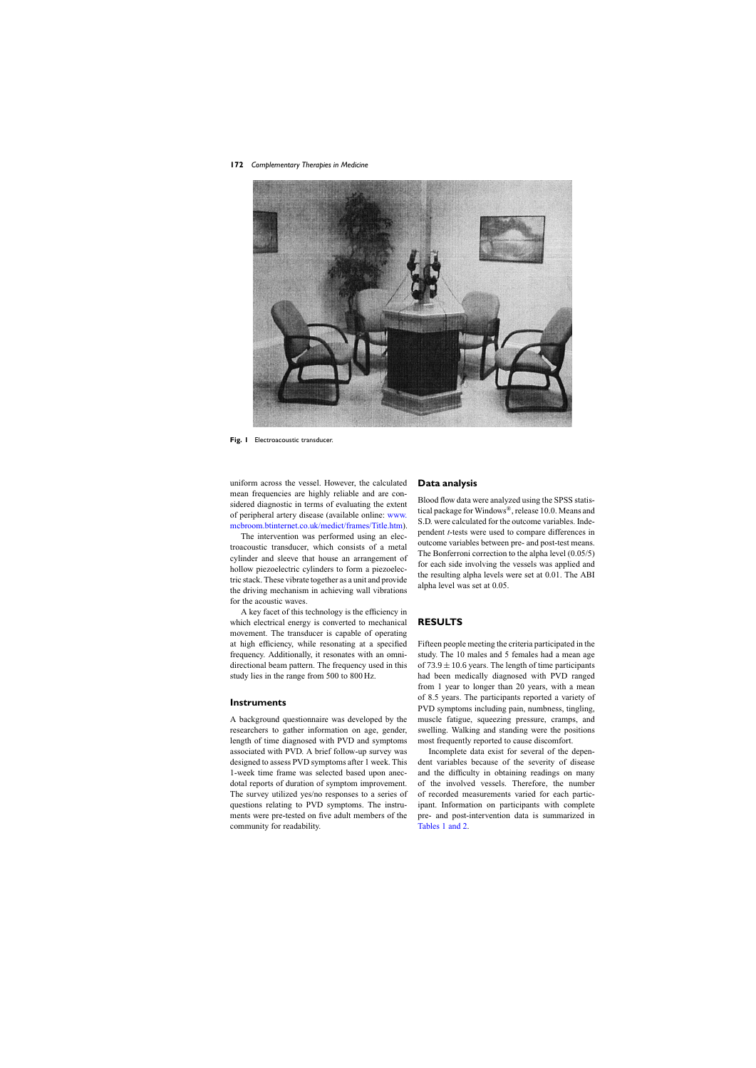<span id="page-2-0"></span>

Fig. 1 Electroacoustic transducer.

uniform across the vessel. However, the calculated mean frequencies are highly reliable and are considered diagnostic in terms of evaluating the extent of peripheral artery disease (available online: [www.](http://www.mcbroom.btinternet.co.uk/medict/frames/Title.htm) [mcbroom.btinternet.co.uk/medict/frames/Title.htm\)](http://www.mcbroom.btinternet.co.uk/medict/frames/Title.htm).

The intervention was performed using an electroacoustic transducer, which consists of a metal cylinder and sleeve that house an arrangement of hollow piezoelectric cylinders to form a piezoelectric stack. These vibrate together as a unit and provide the driving mechanism in achieving wall vibrations for the acoustic waves.

A key facet of this technology is the efficiency in which electrical energy is converted to mechanical movement. The transducer is capable of operating at high efficiency, while resonating at a specified frequency. Additionally, it resonates with an omnidirectional beam pattern. The frequency used in this study lies in the range from 500 to 800 Hz.

## **Instruments**

A background questionnaire was developed by the researchers to gather information on age, gender, length of time diagnosed with PVD and symptoms associated with PVD. A brief follow-up survey was designed to assess PVD symptoms after 1 week. This 1-week time frame was selected based upon anecdotal reports of duration of symptom improvement. The survey utilized yes/no responses to a series of questions relating to PVD symptoms. The instruments were pre-tested on five adult members of the community for readability.

#### **Data analysis**

Blood flow data were analyzed using the SPSS statistical package for Windows®, release 10.0. Means and S.D. were calculated for the outcome variables. Independent *t*-tests were used to compare differences in outcome variables between pre- and post-test means. The Bonferroni correction to the alpha level (0.05/5) for each side involving the vessels was applied and the resulting alpha levels were set at 0.01. The ABI alpha level was set at 0.05.

#### **RESULTS**

Fifteen people meeting the criteria participated in the study. The 10 males and 5 females had a mean age of  $73.9 \pm 10.6$  years. The length of time participants had been medically diagnosed with PVD ranged from 1 year to longer than 20 years, with a mean of 8.5 years. The participants reported a variety of PVD symptoms including pain, numbness, tingling, muscle fatigue, squeezing pressure, cramps, and swelling. Walking and standing were the positions most frequently reported to cause discomfort.

Incomplete data exist for several of the dependent variables because of the severity of disease and the difficulty in obtaining readings on many of the involved vessels. Therefore, the number of recorded measurements varied for each participant. Information on participants with complete pre- and post-intervention data is summarized in [Tables 1 and 2.](#page-3-0)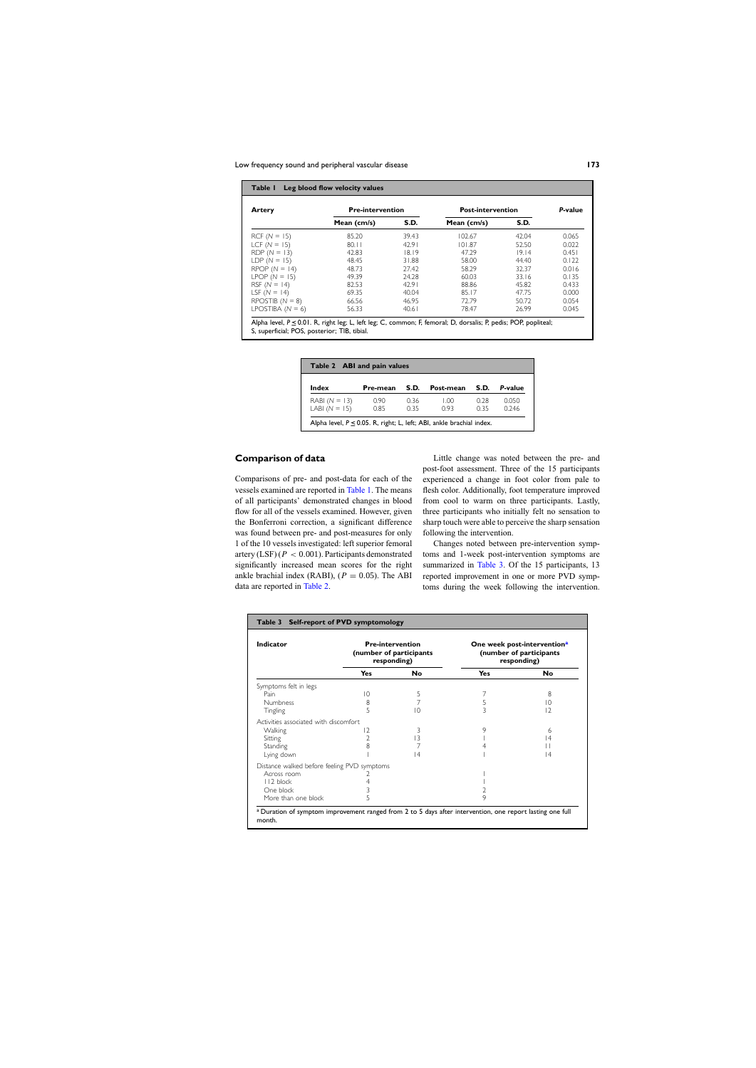<span id="page-3-0"></span>

| <b>Artery</b>      | <b>Pre-intervention</b> |             | <b>Post-intervention</b> |             | P-value |
|--------------------|-------------------------|-------------|--------------------------|-------------|---------|
|                    | Mean (cm/s)             | <b>S.D.</b> | Mean (cm/s)              | <b>S.D.</b> |         |
| $RCF (N = 15)$     | 85.20                   | 39.43       | 102.67                   | 42.04       | 0.065   |
| LCF $(N = 15)$     | 80.11                   | 42.91       | 101.87                   | 52.50       | 0.022   |
| $RDP (N = 13)$     | 42.83                   | 18.19       | 47.29                    | 19.14       | 0.451   |
| LDP $(N = 15)$     | 48.45                   | 31.88       | 58.00                    | 44.40       | 0.122   |
| RPOP $(N = 14)$    | 48.73                   | 27.42       | 58.29                    | 32.37       | 0.016   |
| LPOP $(N = 15)$    | 49.39                   | 24.28       | 60.03                    | 33.16       | 0.135   |
| RSF $(N = 14)$     | 82.53                   | 42.91       | 88.86                    | 45.82       | 0.433   |
| LSF $(N = 14)$     | 69.35                   | 40.04       | 85.17                    | 47.75       | 0.000   |
| RPOSTIB $(N = 8)$  | 66.56                   | 46.95       | 72.79                    | 50.72       | 0.054   |
| LPOSTIBA $(N = 6)$ | 56.33                   | 40.61       | 78.47                    | 26.99       | 0.045   |

Alpha level, *P* ≤ 0.01. R, right leg; L, left leg; C, common; F, femoral; D, dorsalis; P, pedis; POP, popliteal;<br>S, superficial; POS, posterior; TIB, tibial.

| Table 2 ABI and pain values                                                                  |              |              |              |              |                |  |
|----------------------------------------------------------------------------------------------|--------------|--------------|--------------|--------------|----------------|--|
| Index                                                                                        | Pre-mean     | S.D.         | Post-mean    | S.D.         | P-value        |  |
| $RABI (N = 13)$                                                                              | 0.90<br>0.85 | 0.36<br>0.35 | 0.01<br>0.93 | 0.28<br>0.35 | 0.050<br>0.246 |  |
| LABI $(N = 15)$<br>Alpha level, $P \le 0.05$ . R, right; L, left; ABI, ankle brachial index. |              |              |              |              |                |  |

#### **Comparison of data**

Comparisons of pre- and post-data for each of the vessels examined are reported in Table 1. The means of all participants' demonstrated changes in blood flow for all of the vessels examined. However, given the Bonferroni correction, a significant difference was found between pre- and post-measures for only 1 of the 10 vessels investigated: left superior femoral artery (LSF) ( $P < 0.001$ ). Participants demonstrated significantly increased mean scores for the right ankle brachial index (RABI),  $(P = 0.05)$ . The ABI data are reported in Table 2.

Little change was noted between the pre- and post-foot assessment. Three of the 15 participants experienced a change in foot color from pale to flesh color. Additionally, foot temperature improved from cool to warm on three participants. Lastly, three participants who initially felt no sensation to sharp touch were able to perceive the sharp sensation following the intervention.

Changes noted between pre-intervention symptoms and 1-week post-intervention symptoms are summarized in Table 3. Of the 15 participants, 13 reported improvement in one or more PVD symptoms during the week following the intervention.

| Indicator                                   | <b>Pre-intervention</b><br>(number of participants<br>responding) |                 | One week post-intervention <sup>a</sup><br>(number of participants<br>responding) |                 |
|---------------------------------------------|-------------------------------------------------------------------|-----------------|-----------------------------------------------------------------------------------|-----------------|
|                                             | <b>Yes</b>                                                        | No              | Yes                                                                               | No              |
| Symptoms felt in legs                       |                                                                   |                 |                                                                                   |                 |
| Pain                                        | 10                                                                | 5               | 7                                                                                 | 8               |
| <b>Numbness</b>                             | 8                                                                 |                 | 5                                                                                 | $\overline{10}$ |
| Tingling                                    | 5                                                                 | $\overline{10}$ | 3                                                                                 | $\overline{2}$  |
| Activities associated with discomfort       |                                                                   |                 |                                                                                   |                 |
| Walking                                     | 12                                                                | 3               | 9                                                                                 | 6               |
| Sitting                                     | 2                                                                 | 13              |                                                                                   | 4               |
| Standing                                    | 8                                                                 |                 |                                                                                   |                 |
| Lying down                                  |                                                                   | 4               |                                                                                   | 4               |
| Distance walked before feeling PVD symptoms |                                                                   |                 |                                                                                   |                 |
| Across room                                 |                                                                   |                 |                                                                                   |                 |
| 112 block                                   | 4                                                                 |                 |                                                                                   |                 |
| One block                                   | 3                                                                 |                 | 2                                                                                 |                 |
| More than one block                         | 5                                                                 |                 | 9                                                                                 |                 |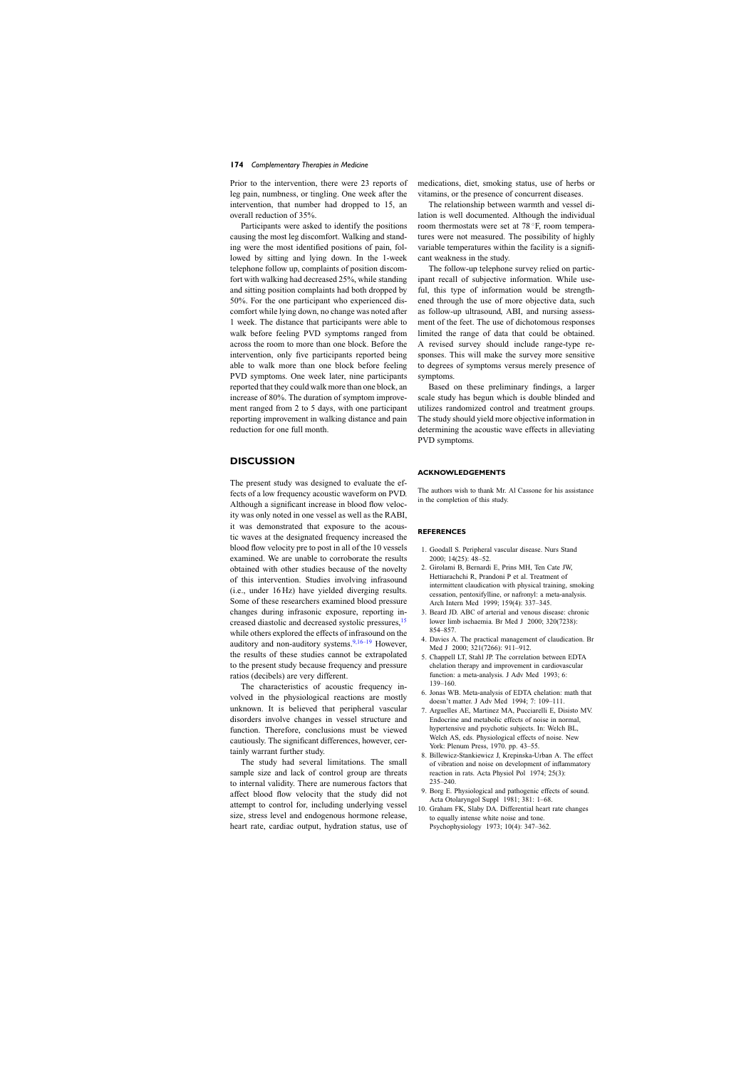<span id="page-4-0"></span>Prior to the intervention, there were 23 reports of leg pain, numbness, or tingling. One week after the intervention, that number had dropped to 15, an overall reduction of 35%.

Participants were asked to identify the positions causing the most leg discomfort. Walking and standing were the most identified positions of pain, followed by sitting and lying down. In the 1-week telephone follow up, complaints of position discomfort with walking had decreased 25%, while standing and sitting position complaints had both dropped by 50%. For the one participant who experienced discomfort while lying down, no change was noted after 1 week. The distance that participants were able to walk before feeling PVD symptoms ranged from across the room to more than one block. Before the intervention, only five participants reported being able to walk more than one block before feeling PVD symptoms. One week later, nine participants reported that they could walk more than one block, an increase of 80%. The duration of symptom improvement ranged from 2 to 5 days, with one participant reporting improvement in walking distance and pain reduction for one full month.

## **DISCUSSION**

The present study was designed to evaluate the effects of a low frequency acoustic waveform on PVD. Although a significant increase in blood flow velocity was only noted in one vessel as well as the RABI, it was demonstrated that exposure to the acoustic waves at the designated frequency increased the blood flow velocity pre to post in all of the 10 vessels examined. We are unable to corroborate the results obtained with other studies because of the novelty of this intervention. Studies involving infrasound (i.e., under 16 Hz) have yielded diverging results. Some of these researchers examined blood pressure changes during infrasonic exposure, reporting in-creased diastolic and decreased systolic pressures,<sup>[15](#page-5-0)</sup> while others explored the effects of infrasound on the auditory and non-auditory systems. $9,16-19$  However, the results of these studies cannot be extrapolated to the present study because frequency and pressure ratios (decibels) are very different.

The characteristics of acoustic frequency involved in the physiological reactions are mostly unknown. It is believed that peripheral vascular disorders involve changes in vessel structure and function. Therefore, conclusions must be viewed cautiously. The significant differences, however, certainly warrant further study.

The study had several limitations. The small sample size and lack of control group are threats to internal validity. There are numerous factors that affect blood flow velocity that the study did not attempt to control for, including underlying vessel size, stress level and endogenous hormone release, heart rate, cardiac output, hydration status, use of medications, diet, smoking status, use of herbs or vitamins, or the presence of concurrent diseases.

The relationship between warmth and vessel dilation is well documented. Although the individual room thermostats were set at 78 ◦F, room temperatures were not measured. The possibility of highly variable temperatures within the facility is a significant weakness in the study.

The follow-up telephone survey relied on participant recall of subjective information. While useful, this type of information would be strengthened through the use of more objective data, such as follow-up ultrasound, ABI, and nursing assessment of the feet. The use of dichotomous responses limited the range of data that could be obtained. A revised survey should include range-type responses. This will make the survey more sensitive to degrees of symptoms versus merely presence of symptoms.

Based on these preliminary findings, a larger scale study has begun which is double blinded and utilizes randomized control and treatment groups. The study should yield more objective information in determining the acoustic wave effects in alleviating PVD symptoms.

#### **ACKNOWLEDGEMENTS**

The authors wish to thank Mr. Al Cassone for his assistance in the completion of this study.

#### **REFERENCES**

- 1. Goodall S. Peripheral vascular disease. Nurs Stand 2000; 14(25): 48–52.
- 2. Girolami B, Bernardi E, Prins MH, Ten Cate JW, Hettiarachchi R, Prandoni P et al. Treatment of intermittent claudication with physical training, smoking cessation, pentoxifylline, or nafronyl: a meta-analysis. Arch Intern Med 1999; 159(4): 337–345.
- 3. Beard JD. ABC of arterial and venous disease: chronic lower limb ischaemia. Br Med J 2000; 320(7238): 854–857.
- 4. Davies A. The practical management of claudication. Br Med J 2000; 321(7266): 911–912.
- 5. Chappell LT, Stahl JP. The correlation between EDTA chelation therapy and improvement in cardiovascular function: a meta-analysis. J Adv Med 1993; 6: 139–160.
- 6. Jonas WB. Meta-analysis of EDTA chelation: math that doesn't matter. J Adv Med 1994; 7: 109–111.
- 7. Arguelles AE, Martinez MA, Pucciarelli E, Disisto MV. Endocrine and metabolic effects of noise in normal, hypertensive and psychotic subjects. In: Welch BL, Welch AS, eds. Physiological effects of noise. New York: Plenum Press, 1970. pp. 43–55.
- 8. Billewicz-Stankiewicz J, Krepinska-Urban A. The effect of vibration and noise on development of inflammatory reaction in rats. Acta Physiol Pol 1974; 25(3): 235–240.
- 9. Borg E. Physiological and pathogenic effects of sound. Acta Otolaryngol Suppl 1981; 381: 1–68.
- 10. Graham FK, Slaby DA. Differential heart rate changes to equally intense white noise and tone. Psychophysiology 1973; 10(4): 347–362.